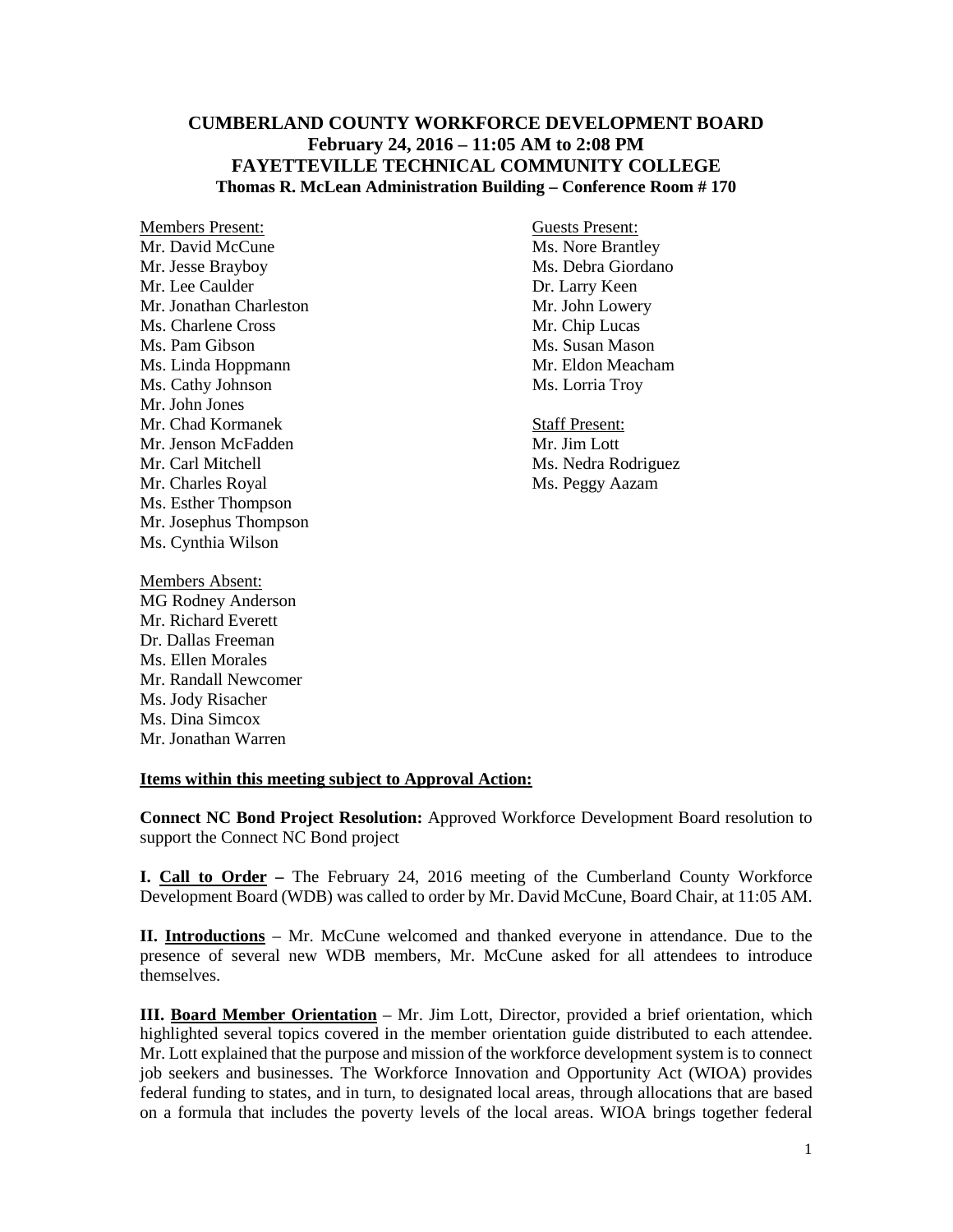## **CUMBERLAND COUNTY WORKFORCE DEVELOPMENT BOARD February 24, 2016 – 11:05 AM to 2:08 PM FAYETTEVILLE TECHNICAL COMMUNITY COLLEGE Thomas R. McLean Administration Building – Conference Room # 170**

Members Present: Guests Present: Mr. David McCune<br>
Mr. Jesse Bravbov<br>
Mr. Jesse Bravbov Mr. Jesse Brayboy Mr. Lee Caulder Dr. Larry Keen Mr. Jonathan Charleston Mr. John Lowery<br>
Ms. Charlene Cross Mr. Chip Lucas Ms. Charlene Cross Ms. Pam Gibson Ms. Susan Mason Ms. Linda Hoppmann Mr. Eldon Meacham Ms. Cathy Johnson Ms. Lorria Troy Mr. John Jones Mr. Chad Kormanek Staff Present: Mr. Jenson McFadden Mr. Jim Lott<br>Mr. Carl Mitchell Ms. Nedra Ro Mr. Charles Royal Ms. Peggy Aazam Ms. Esther Thompson Mr. Josephus Thompson Ms. Cynthia Wilson

Members Absent: MG Rodney Anderson Mr. Richard Everett Dr. Dallas Freeman Ms. Ellen Morales Mr. Randall Newcomer Ms. Jody Risacher Ms. Dina Simcox Mr. Jonathan Warren

Ms. Nedra Rodriguez

**Items within this meeting subject to Approval Action:**

**Connect NC Bond Project Resolution:** Approved Workforce Development Board resolution to support the Connect NC Bond project

**I. Call to Order –** The February 24, 2016 meeting of the Cumberland County Workforce Development Board (WDB) was called to order by Mr. David McCune, Board Chair, at 11:05 AM.

**II. Introductions** – Mr. McCune welcomed and thanked everyone in attendance. Due to the presence of several new WDB members, Mr. McCune asked for all attendees to introduce themselves.

**III. Board Member Orientation** – Mr. Jim Lott, Director, provided a brief orientation, which highlighted several topics covered in the member orientation guide distributed to each attendee. Mr. Lott explained that the purpose and mission of the workforce development system is to connect job seekers and businesses. The Workforce Innovation and Opportunity Act (WIOA) provides federal funding to states, and in turn, to designated local areas, through allocations that are based on a formula that includes the poverty levels of the local areas. WIOA brings together federal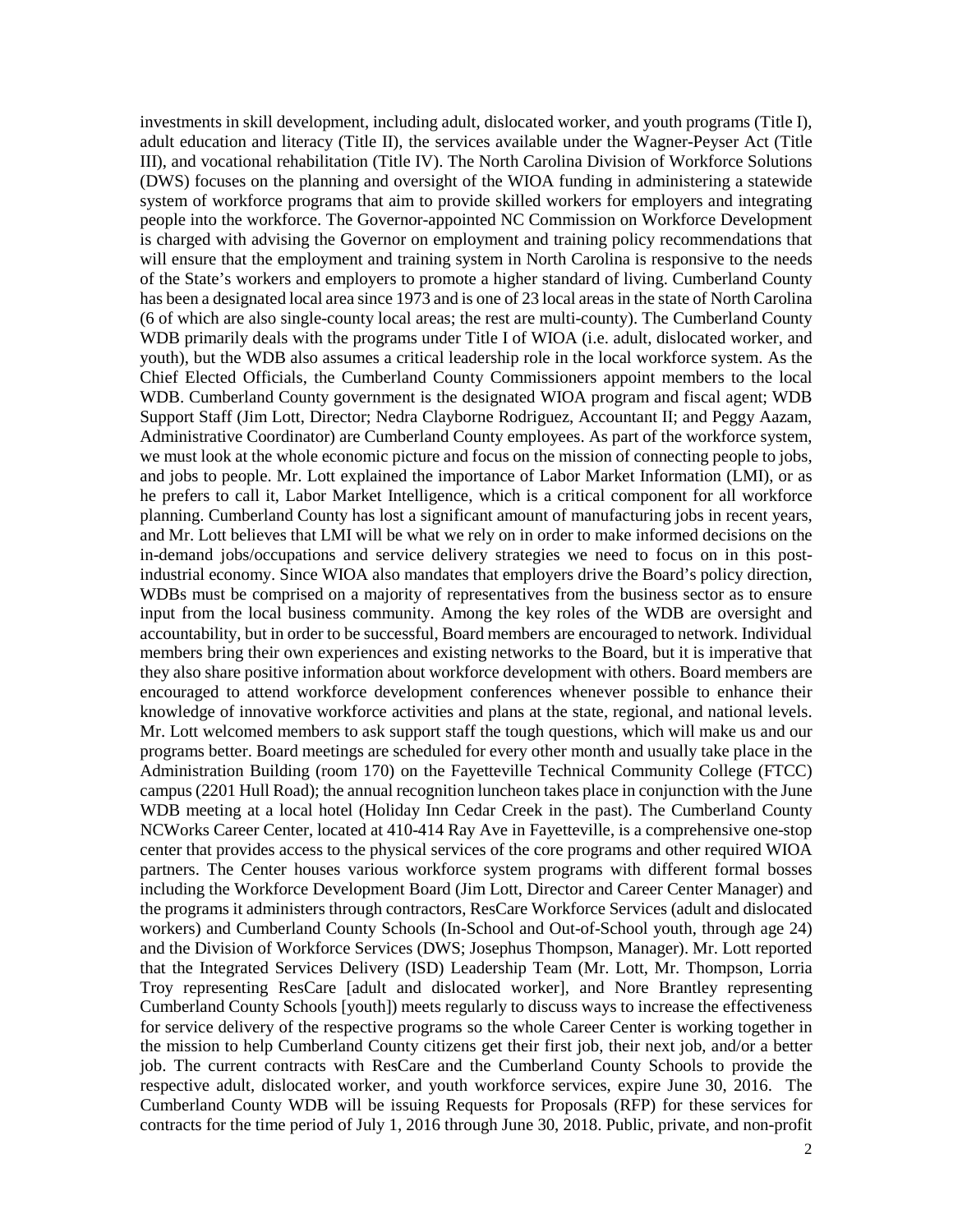investments in skill development, including adult, dislocated worker, and youth programs (Title I), adult education and literacy (Title II), the services available under the Wagner-Peyser Act (Title III), and vocational rehabilitation (Title IV). The North Carolina Division of Workforce Solutions (DWS) focuses on the planning and oversight of the WIOA funding in administering a statewide system of workforce programs that aim to provide skilled workers for employers and integrating people into the workforce. The Governor-appointed NC Commission on Workforce Development is charged with advising the Governor on employment and training policy recommendations that will ensure that the employment and training system in North Carolina is responsive to the needs of the State's workers and employers to promote a higher standard of living. Cumberland County has been a designated local area since 1973 and is one of 23 local areas in the state of North Carolina (6 of which are also single-county local areas; the rest are multi-county). The Cumberland County WDB primarily deals with the programs under Title I of WIOA (i.e. adult, dislocated worker, and youth), but the WDB also assumes a critical leadership role in the local workforce system. As the Chief Elected Officials, the Cumberland County Commissioners appoint members to the local WDB. Cumberland County government is the designated WIOA program and fiscal agent; WDB Support Staff (Jim Lott, Director; Nedra Clayborne Rodriguez, Accountant II; and Peggy Aazam, Administrative Coordinator) are Cumberland County employees. As part of the workforce system, we must look at the whole economic picture and focus on the mission of connecting people to jobs, and jobs to people. Mr. Lott explained the importance of Labor Market Information (LMI), or as he prefers to call it, Labor Market Intelligence, which is a critical component for all workforce planning. Cumberland County has lost a significant amount of manufacturing jobs in recent years, and Mr. Lott believes that LMI will be what we rely on in order to make informed decisions on the in-demand jobs/occupations and service delivery strategies we need to focus on in this postindustrial economy. Since WIOA also mandates that employers drive the Board's policy direction, WDBs must be comprised on a majority of representatives from the business sector as to ensure input from the local business community. Among the key roles of the WDB are oversight and accountability, but in order to be successful, Board members are encouraged to network. Individual members bring their own experiences and existing networks to the Board, but it is imperative that they also share positive information about workforce development with others. Board members are encouraged to attend workforce development conferences whenever possible to enhance their knowledge of innovative workforce activities and plans at the state, regional, and national levels. Mr. Lott welcomed members to ask support staff the tough questions, which will make us and our programs better. Board meetings are scheduled for every other month and usually take place in the Administration Building (room 170) on the Fayetteville Technical Community College (FTCC) campus (2201 Hull Road); the annual recognition luncheon takes place in conjunction with the June WDB meeting at a local hotel (Holiday Inn Cedar Creek in the past). The Cumberland County NCWorks Career Center, located at 410-414 Ray Ave in Fayetteville, is a comprehensive one-stop center that provides access to the physical services of the core programs and other required WIOA partners. The Center houses various workforce system programs with different formal bosses including the Workforce Development Board (Jim Lott, Director and Career Center Manager) and the programs it administers through contractors, ResCare Workforce Services (adult and dislocated workers) and Cumberland County Schools (In-School and Out-of-School youth, through age 24) and the Division of Workforce Services (DWS; Josephus Thompson, Manager). Mr. Lott reported that the Integrated Services Delivery (ISD) Leadership Team (Mr. Lott, Mr. Thompson, Lorria Troy representing ResCare [adult and dislocated worker], and Nore Brantley representing Cumberland County Schools [youth]) meets regularly to discuss ways to increase the effectiveness for service delivery of the respective programs so the whole Career Center is working together in the mission to help Cumberland County citizens get their first job, their next job, and/or a better job. The current contracts with ResCare and the Cumberland County Schools to provide the respective adult, dislocated worker, and youth workforce services, expire June 30, 2016. The Cumberland County WDB will be issuing Requests for Proposals (RFP) for these services for contracts for the time period of July 1, 2016 through June 30, 2018. Public, private, and non-profit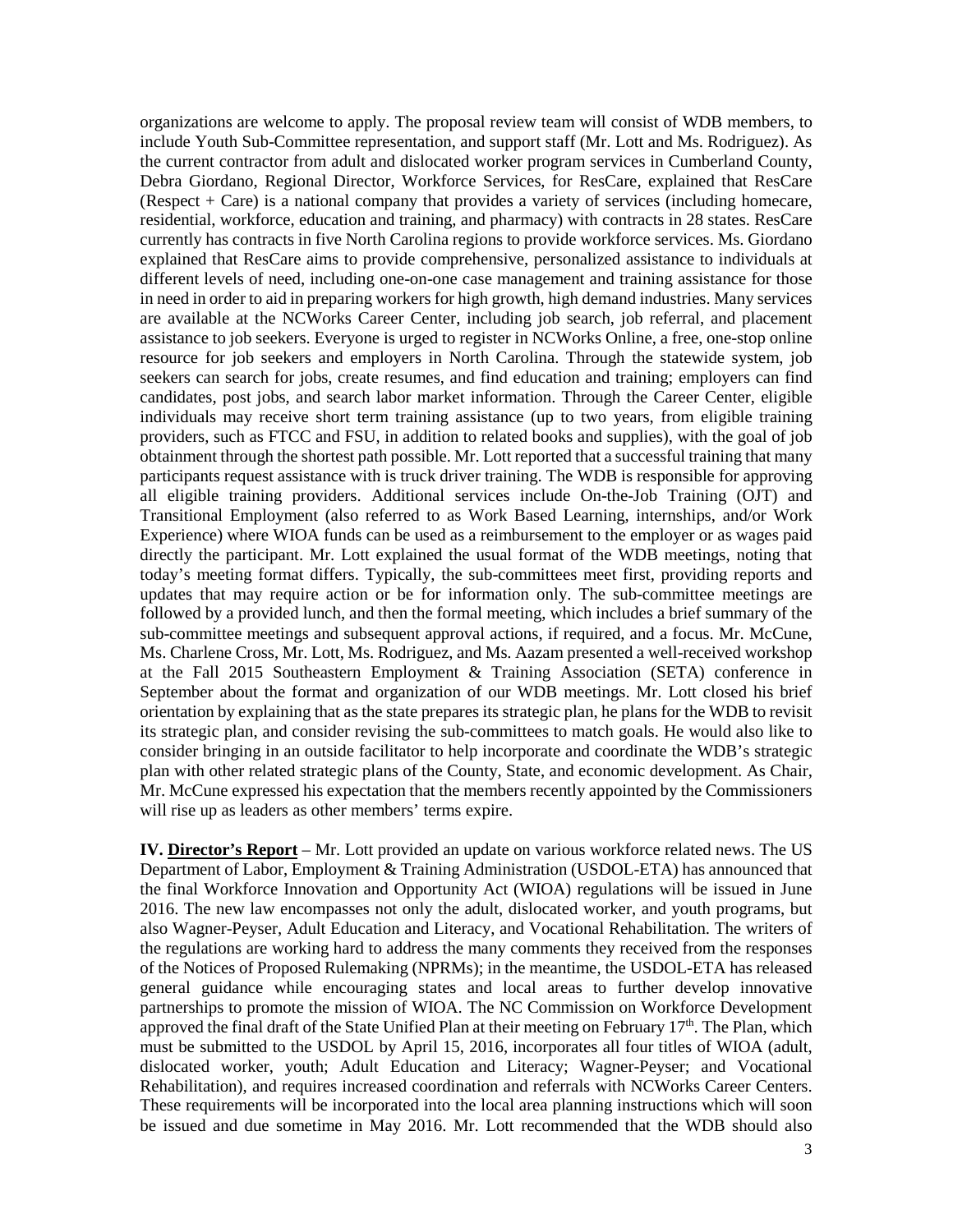organizations are welcome to apply. The proposal review team will consist of WDB members, to include Youth Sub-Committee representation, and support staff (Mr. Lott and Ms. Rodriguez). As the current contractor from adult and dislocated worker program services in Cumberland County, Debra Giordano, Regional Director, Workforce Services, for ResCare, explained that ResCare  $(Respect + Care)$  is a national company that provides a variety of services (including homecare, residential, workforce, education and training, and pharmacy) with contracts in 28 states. ResCare currently has contracts in five North Carolina regions to provide workforce services. Ms. Giordano explained that ResCare aims to provide comprehensive, personalized assistance to individuals at different levels of need, including one-on-one case management and training assistance for those in need in order to aid in preparing workers for high growth, high demand industries. Many services are available at the NCWorks Career Center, including job search, job referral, and placement assistance to job seekers. Everyone is urged to register in NCWorks Online, a free, one-stop online resource for job seekers and employers in North Carolina. Through the statewide system, job seekers can search for jobs, create resumes, and find education and training; employers can find candidates, post jobs, and search labor market information. Through the Career Center, eligible individuals may receive short term training assistance (up to two years, from eligible training providers, such as FTCC and FSU, in addition to related books and supplies), with the goal of job obtainment through the shortest path possible. Mr. Lott reported that a successful training that many participants request assistance with is truck driver training. The WDB is responsible for approving all eligible training providers. Additional services include On-the-Job Training (OJT) and Transitional Employment (also referred to as Work Based Learning, internships, and/or Work Experience) where WIOA funds can be used as a reimbursement to the employer or as wages paid directly the participant. Mr. Lott explained the usual format of the WDB meetings, noting that today's meeting format differs. Typically, the sub-committees meet first, providing reports and updates that may require action or be for information only. The sub-committee meetings are followed by a provided lunch, and then the formal meeting, which includes a brief summary of the sub-committee meetings and subsequent approval actions, if required, and a focus. Mr. McCune, Ms. Charlene Cross, Mr. Lott, Ms. Rodriguez, and Ms. Aazam presented a well-received workshop at the Fall 2015 Southeastern Employment & Training Association (SETA) conference in September about the format and organization of our WDB meetings. Mr. Lott closed his brief orientation by explaining that as the state prepares its strategic plan, he plans for the WDB to revisit its strategic plan, and consider revising the sub-committees to match goals. He would also like to consider bringing in an outside facilitator to help incorporate and coordinate the WDB's strategic plan with other related strategic plans of the County, State, and economic development. As Chair, Mr. McCune expressed his expectation that the members recently appointed by the Commissioners will rise up as leaders as other members' terms expire.

**IV. Director's Report** – Mr. Lott provided an update on various workforce related news. The US Department of Labor, Employment & Training Administration (USDOL-ETA) has announced that the final Workforce Innovation and Opportunity Act (WIOA) regulations will be issued in June 2016. The new law encompasses not only the adult, dislocated worker, and youth programs, but also Wagner-Peyser, Adult Education and Literacy, and Vocational Rehabilitation. The writers of the regulations are working hard to address the many comments they received from the responses of the Notices of Proposed Rulemaking (NPRMs); in the meantime, the USDOL-ETA has released general guidance while encouraging states and local areas to further develop innovative partnerships to promote the mission of WIOA. The NC Commission on Workforce Development approved the final draft of the State Unified Plan at their meeting on February  $17<sup>th</sup>$ . The Plan, which must be submitted to the USDOL by April 15, 2016, incorporates all four titles of WIOA (adult, dislocated worker, youth; Adult Education and Literacy; Wagner-Peyser; and Vocational Rehabilitation), and requires increased coordination and referrals with NCWorks Career Centers. These requirements will be incorporated into the local area planning instructions which will soon be issued and due sometime in May 2016. Mr. Lott recommended that the WDB should also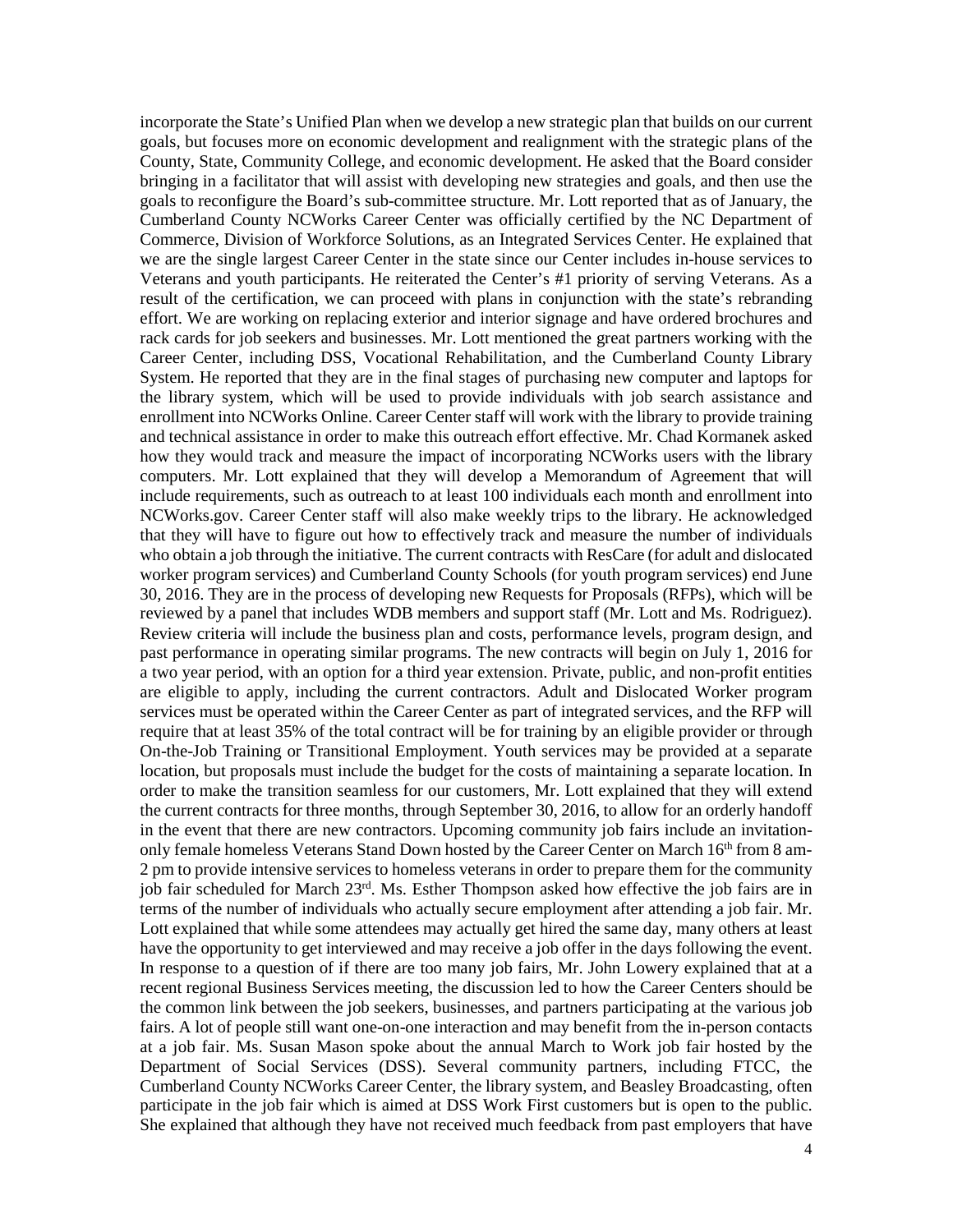incorporate the State's Unified Plan when we develop a new strategic plan that builds on our current goals, but focuses more on economic development and realignment with the strategic plans of the County, State, Community College, and economic development. He asked that the Board consider bringing in a facilitator that will assist with developing new strategies and goals, and then use the goals to reconfigure the Board's sub-committee structure. Mr. Lott reported that as of January, the Cumberland County NCWorks Career Center was officially certified by the NC Department of Commerce, Division of Workforce Solutions, as an Integrated Services Center. He explained that we are the single largest Career Center in the state since our Center includes in-house services to Veterans and youth participants. He reiterated the Center's #1 priority of serving Veterans. As a result of the certification, we can proceed with plans in conjunction with the state's rebranding effort. We are working on replacing exterior and interior signage and have ordered brochures and rack cards for job seekers and businesses. Mr. Lott mentioned the great partners working with the Career Center, including DSS, Vocational Rehabilitation, and the Cumberland County Library System. He reported that they are in the final stages of purchasing new computer and laptops for the library system, which will be used to provide individuals with job search assistance and enrollment into NCWorks Online. Career Center staff will work with the library to provide training and technical assistance in order to make this outreach effort effective. Mr. Chad Kormanek asked how they would track and measure the impact of incorporating NCWorks users with the library computers. Mr. Lott explained that they will develop a Memorandum of Agreement that will include requirements, such as outreach to at least 100 individuals each month and enrollment into NCWorks.gov. Career Center staff will also make weekly trips to the library. He acknowledged that they will have to figure out how to effectively track and measure the number of individuals who obtain a job through the initiative. The current contracts with ResCare (for adult and dislocated worker program services) and Cumberland County Schools (for youth program services) end June 30, 2016. They are in the process of developing new Requests for Proposals (RFPs), which will be reviewed by a panel that includes WDB members and support staff (Mr. Lott and Ms. Rodriguez). Review criteria will include the business plan and costs, performance levels, program design, and past performance in operating similar programs. The new contracts will begin on July 1, 2016 for a two year period, with an option for a third year extension. Private, public, and non-profit entities are eligible to apply, including the current contractors. Adult and Dislocated Worker program services must be operated within the Career Center as part of integrated services, and the RFP will require that at least 35% of the total contract will be for training by an eligible provider or through On-the-Job Training or Transitional Employment. Youth services may be provided at a separate location, but proposals must include the budget for the costs of maintaining a separate location. In order to make the transition seamless for our customers, Mr. Lott explained that they will extend the current contracts for three months, through September 30, 2016, to allow for an orderly handoff in the event that there are new contractors. Upcoming community job fairs include an invitationonly female homeless Veterans Stand Down hosted by the Career Center on March 16<sup>th</sup> from 8 am-2 pm to provide intensive services to homeless veterans in order to prepare them for the community job fair scheduled for March 23rd. Ms. Esther Thompson asked how effective the job fairs are in terms of the number of individuals who actually secure employment after attending a job fair. Mr. Lott explained that while some attendees may actually get hired the same day, many others at least have the opportunity to get interviewed and may receive a job offer in the days following the event. In response to a question of if there are too many job fairs, Mr. John Lowery explained that at a recent regional Business Services meeting, the discussion led to how the Career Centers should be the common link between the job seekers, businesses, and partners participating at the various job fairs. A lot of people still want one-on-one interaction and may benefit from the in-person contacts at a job fair. Ms. Susan Mason spoke about the annual March to Work job fair hosted by the Department of Social Services (DSS). Several community partners, including FTCC, the Cumberland County NCWorks Career Center, the library system, and Beasley Broadcasting, often participate in the job fair which is aimed at DSS Work First customers but is open to the public. She explained that although they have not received much feedback from past employers that have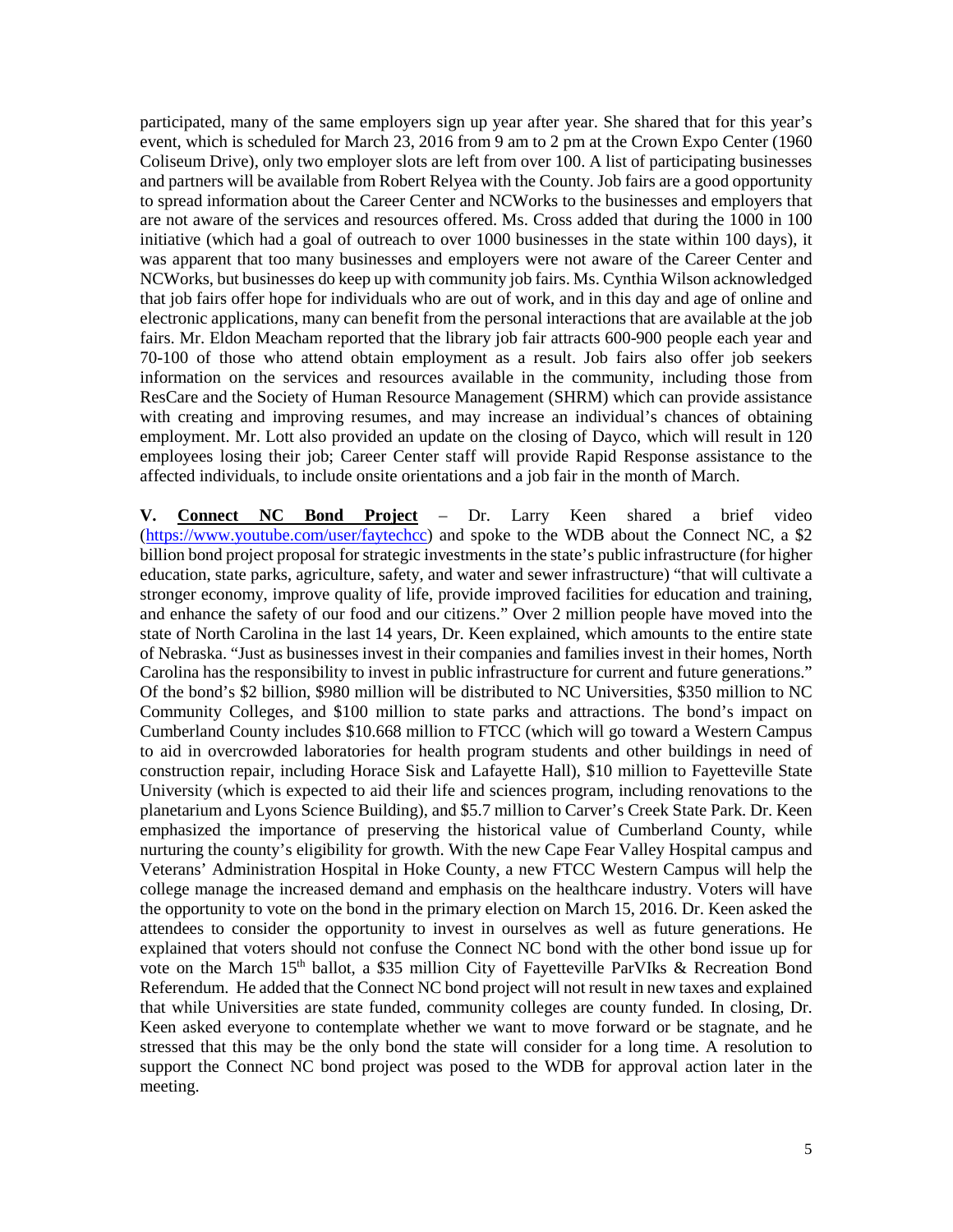participated, many of the same employers sign up year after year. She shared that for this year's event, which is scheduled for March 23, 2016 from 9 am to 2 pm at the Crown Expo Center (1960 Coliseum Drive), only two employer slots are left from over 100. A list of participating businesses and partners will be available from Robert Relyea with the County. Job fairs are a good opportunity to spread information about the Career Center and NCWorks to the businesses and employers that are not aware of the services and resources offered. Ms. Cross added that during the 1000 in 100 initiative (which had a goal of outreach to over 1000 businesses in the state within 100 days), it was apparent that too many businesses and employers were not aware of the Career Center and NCWorks, but businesses do keep up with community job fairs. Ms. Cynthia Wilson acknowledged that job fairs offer hope for individuals who are out of work, and in this day and age of online and electronic applications, many can benefit from the personal interactions that are available at the job fairs. Mr. Eldon Meacham reported that the library job fair attracts 600-900 people each year and 70-100 of those who attend obtain employment as a result. Job fairs also offer job seekers information on the services and resources available in the community, including those from ResCare and the Society of Human Resource Management (SHRM) which can provide assistance with creating and improving resumes, and may increase an individual's chances of obtaining employment. Mr. Lott also provided an update on the closing of Dayco, which will result in 120 employees losing their job; Career Center staff will provide Rapid Response assistance to the affected individuals, to include onsite orientations and a job fair in the month of March.

**V. Connect NC Bond Project** – Dr. Larry Keen shared a brief video [\(https://www.youtube.com/user/faytechcc\)](https://www.youtube.com/user/faytechcc) and spoke to the WDB about the Connect NC, a \$2 billion bond project proposal for strategic investments in the state's public infrastructure (for higher education, state parks, agriculture, safety, and water and sewer infrastructure) "that will cultivate a stronger economy, improve quality of life, provide improved facilities for education and training, and enhance the safety of our food and our citizens." Over 2 million people have moved into the state of North Carolina in the last 14 years, Dr. Keen explained, which amounts to the entire state of Nebraska. "Just as businesses invest in their companies and families invest in their homes, North Carolina has the responsibility to invest in public infrastructure for current and future generations." Of the bond's \$2 billion, \$980 million will be distributed to NC Universities, \$350 million to NC Community Colleges, and \$100 million to state parks and attractions. The bond's impact on Cumberland County includes \$10.668 million to FTCC (which will go toward a Western Campus to aid in overcrowded laboratories for health program students and other buildings in need of construction repair, including Horace Sisk and Lafayette Hall), \$10 million to Fayetteville State University (which is expected to aid their life and sciences program, including renovations to the planetarium and Lyons Science Building), and \$5.7 million to Carver's Creek State Park. Dr. Keen emphasized the importance of preserving the historical value of Cumberland County, while nurturing the county's eligibility for growth. With the new Cape Fear Valley Hospital campus and Veterans' Administration Hospital in Hoke County, a new FTCC Western Campus will help the college manage the increased demand and emphasis on the healthcare industry. Voters will have the opportunity to vote on the bond in the primary election on March 15, 2016. Dr. Keen asked the attendees to consider the opportunity to invest in ourselves as well as future generations. He explained that voters should not confuse the Connect NC bond with the other bond issue up for vote on the March 15<sup>th</sup> ballot, a \$35 million City of Fayetteville ParVIks & Recreation Bond Referendum. He added that the Connect NC bond project will not result in new taxes and explained that while Universities are state funded, community colleges are county funded. In closing, Dr. Keen asked everyone to contemplate whether we want to move forward or be stagnate, and he stressed that this may be the only bond the state will consider for a long time. A resolution to support the Connect NC bond project was posed to the WDB for approval action later in the meeting.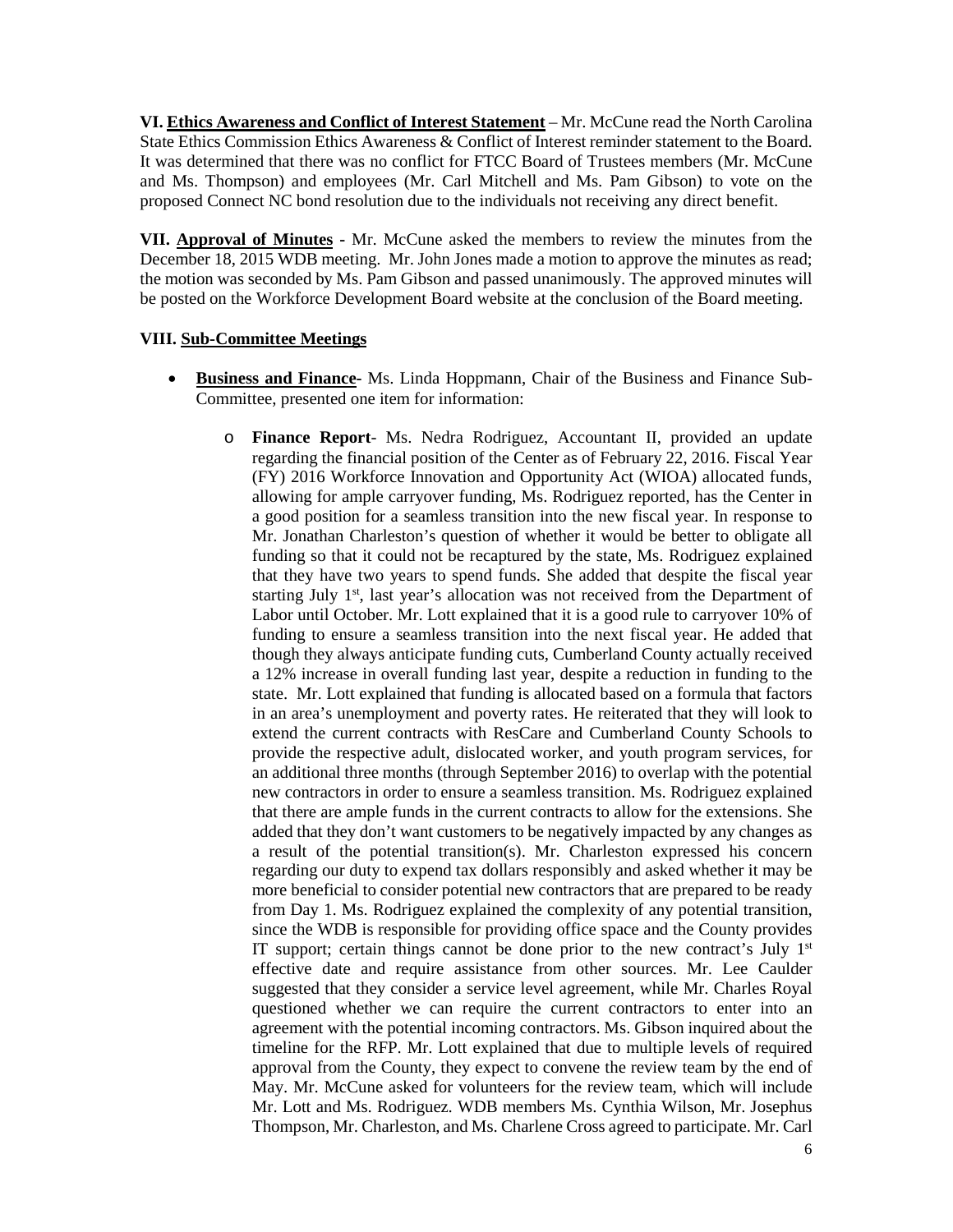**VI. Ethics Awareness and Conflict of Interest Statement** – Mr. McCune read the North Carolina State Ethics Commission Ethics Awareness & Conflict of Interest reminder statement to the Board. It was determined that there was no conflict for FTCC Board of Trustees members (Mr. McCune and Ms. Thompson) and employees (Mr. Carl Mitchell and Ms. Pam Gibson) to vote on the proposed Connect NC bond resolution due to the individuals not receiving any direct benefit.

**VII. Approval of Minutes -** Mr. McCune asked the members to review the minutes from the December 18, 2015 WDB meeting. Mr. John Jones made a motion to approve the minutes as read; the motion was seconded by Ms. Pam Gibson and passed unanimously. The approved minutes will be posted on the Workforce Development Board website at the conclusion of the Board meeting.

## **VIII. Sub-Committee Meetings**

- **Business and Finance-** Ms. Linda Hoppmann, Chair of the Business and Finance Sub-Committee, presented one item for information:
	- o **Finance Report** Ms. Nedra Rodriguez, Accountant II, provided an update regarding the financial position of the Center as of February 22, 2016. Fiscal Year (FY) 2016 Workforce Innovation and Opportunity Act (WIOA) allocated funds, allowing for ample carryover funding, Ms. Rodriguez reported, has the Center in a good position for a seamless transition into the new fiscal year. In response to Mr. Jonathan Charleston's question of whether it would be better to obligate all funding so that it could not be recaptured by the state, Ms. Rodriguez explained that they have two years to spend funds. She added that despite the fiscal year starting July 1<sup>st</sup>, last year's allocation was not received from the Department of Labor until October. Mr. Lott explained that it is a good rule to carryover 10% of funding to ensure a seamless transition into the next fiscal year. He added that though they always anticipate funding cuts, Cumberland County actually received a 12% increase in overall funding last year, despite a reduction in funding to the state. Mr. Lott explained that funding is allocated based on a formula that factors in an area's unemployment and poverty rates. He reiterated that they will look to extend the current contracts with ResCare and Cumberland County Schools to provide the respective adult, dislocated worker, and youth program services, for an additional three months (through September 2016) to overlap with the potential new contractors in order to ensure a seamless transition. Ms. Rodriguez explained that there are ample funds in the current contracts to allow for the extensions. She added that they don't want customers to be negatively impacted by any changes as a result of the potential transition(s). Mr. Charleston expressed his concern regarding our duty to expend tax dollars responsibly and asked whether it may be more beneficial to consider potential new contractors that are prepared to be ready from Day 1. Ms. Rodriguez explained the complexity of any potential transition, since the WDB is responsible for providing office space and the County provides IT support; certain things cannot be done prior to the new contract's July  $1<sup>st</sup>$ effective date and require assistance from other sources. Mr. Lee Caulder suggested that they consider a service level agreement, while Mr. Charles Royal questioned whether we can require the current contractors to enter into an agreement with the potential incoming contractors. Ms. Gibson inquired about the timeline for the RFP. Mr. Lott explained that due to multiple levels of required approval from the County, they expect to convene the review team by the end of May. Mr. McCune asked for volunteers for the review team, which will include Mr. Lott and Ms. Rodriguez. WDB members Ms. Cynthia Wilson, Mr. Josephus Thompson, Mr. Charleston, and Ms. Charlene Cross agreed to participate. Mr. Carl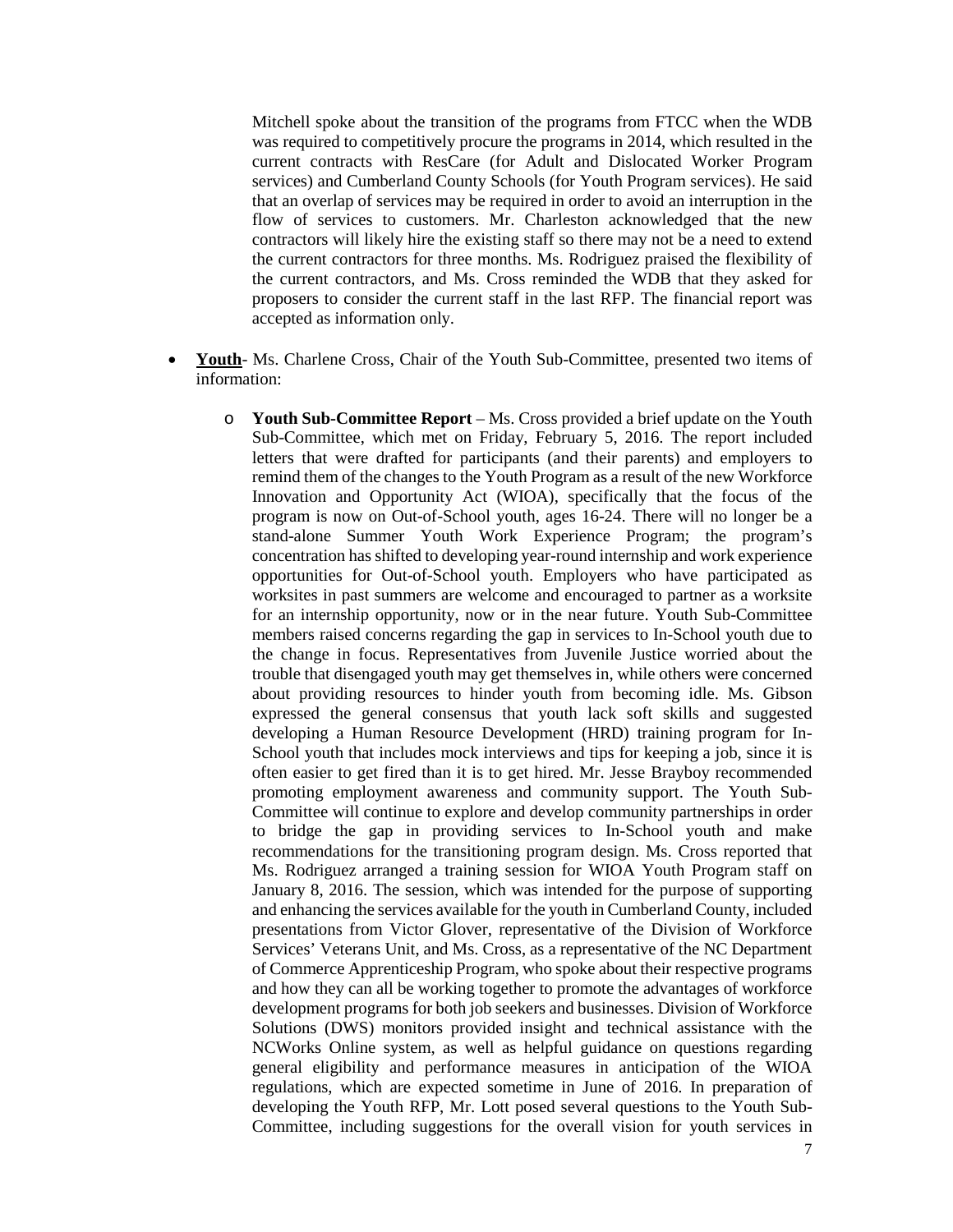Mitchell spoke about the transition of the programs from FTCC when the WDB was required to competitively procure the programs in 2014, which resulted in the current contracts with ResCare (for Adult and Dislocated Worker Program services) and Cumberland County Schools (for Youth Program services). He said that an overlap of services may be required in order to avoid an interruption in the flow of services to customers. Mr. Charleston acknowledged that the new contractors will likely hire the existing staff so there may not be a need to extend the current contractors for three months. Ms. Rodriguez praised the flexibility of the current contractors, and Ms. Cross reminded the WDB that they asked for proposers to consider the current staff in the last RFP. The financial report was accepted as information only.

- **Youth** Ms. Charlene Cross, Chair of the Youth Sub-Committee, presented two items of information:
	- o **Youth Sub-Committee Report** Ms. Cross provided a brief update on the Youth Sub-Committee, which met on Friday, February 5, 2016. The report included letters that were drafted for participants (and their parents) and employers to remind them of the changes to the Youth Program as a result of the new Workforce Innovation and Opportunity Act (WIOA), specifically that the focus of the program is now on Out-of-School youth, ages 16-24. There will no longer be a stand-alone Summer Youth Work Experience Program; the program's concentration has shifted to developing year-round internship and work experience opportunities for Out-of-School youth. Employers who have participated as worksites in past summers are welcome and encouraged to partner as a worksite for an internship opportunity, now or in the near future. Youth Sub-Committee members raised concerns regarding the gap in services to In-School youth due to the change in focus. Representatives from Juvenile Justice worried about the trouble that disengaged youth may get themselves in, while others were concerned about providing resources to hinder youth from becoming idle. Ms. Gibson expressed the general consensus that youth lack soft skills and suggested developing a Human Resource Development (HRD) training program for In-School youth that includes mock interviews and tips for keeping a job, since it is often easier to get fired than it is to get hired. Mr. Jesse Brayboy recommended promoting employment awareness and community support. The Youth Sub-Committee will continue to explore and develop community partnerships in order to bridge the gap in providing services to In-School youth and make recommendations for the transitioning program design. Ms. Cross reported that Ms. Rodriguez arranged a training session for WIOA Youth Program staff on January 8, 2016. The session, which was intended for the purpose of supporting and enhancing the services available for the youth in Cumberland County, included presentations from Victor Glover, representative of the Division of Workforce Services' Veterans Unit, and Ms. Cross, as a representative of the NC Department of Commerce Apprenticeship Program, who spoke about their respective programs and how they can all be working together to promote the advantages of workforce development programs for both job seekers and businesses. Division of Workforce Solutions (DWS) monitors provided insight and technical assistance with the NCWorks Online system, as well as helpful guidance on questions regarding general eligibility and performance measures in anticipation of the WIOA regulations, which are expected sometime in June of 2016. In preparation of developing the Youth RFP, Mr. Lott posed several questions to the Youth Sub-Committee, including suggestions for the overall vision for youth services in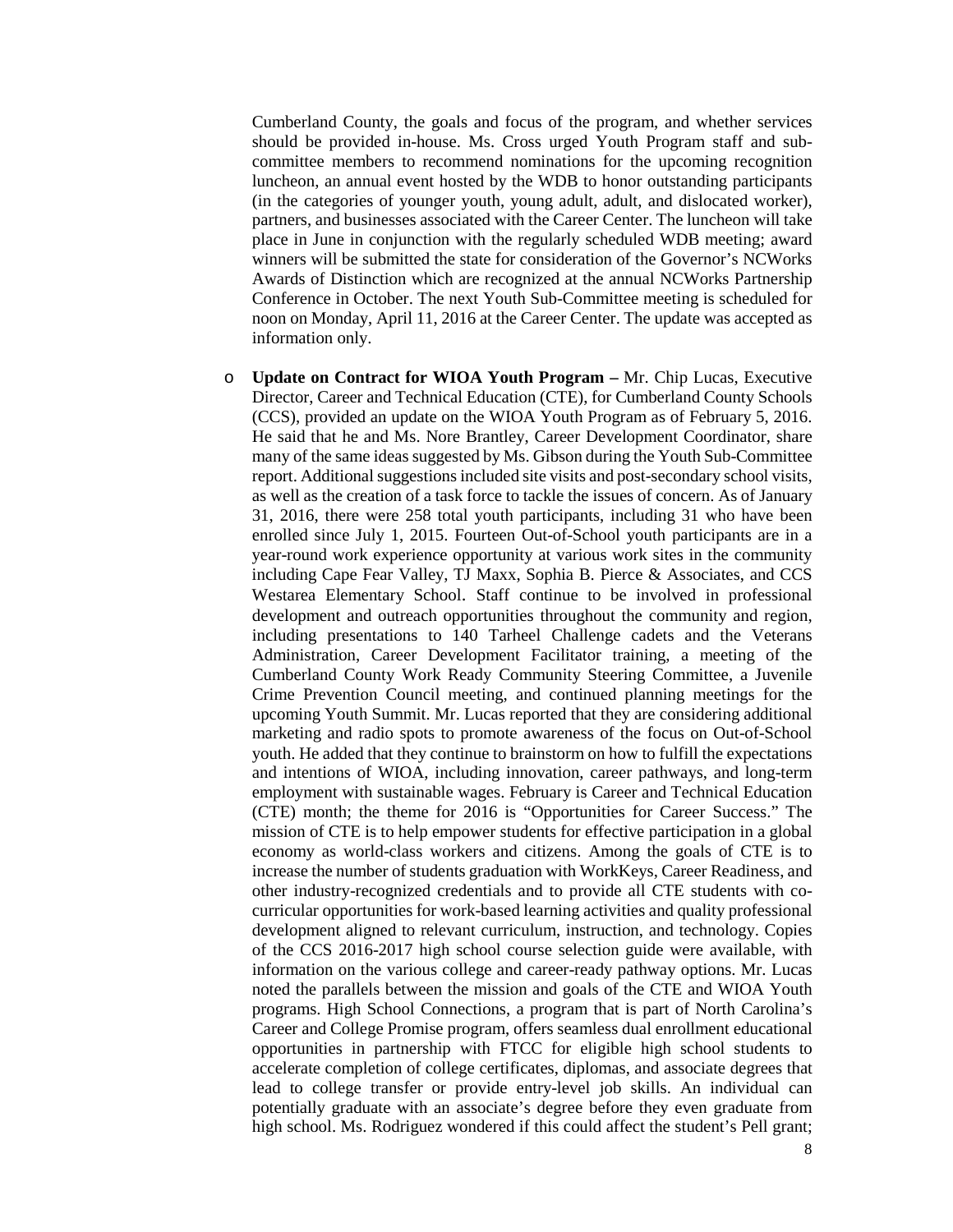Cumberland County, the goals and focus of the program, and whether services should be provided in-house. Ms. Cross urged Youth Program staff and subcommittee members to recommend nominations for the upcoming recognition luncheon, an annual event hosted by the WDB to honor outstanding participants (in the categories of younger youth, young adult, adult, and dislocated worker), partners, and businesses associated with the Career Center. The luncheon will take place in June in conjunction with the regularly scheduled WDB meeting; award winners will be submitted the state for consideration of the Governor's NCWorks Awards of Distinction which are recognized at the annual NCWorks Partnership Conference in October. The next Youth Sub-Committee meeting is scheduled for noon on Monday, April 11, 2016 at the Career Center. The update was accepted as information only.

o **Update on Contract for WIOA Youth Program –** Mr. Chip Lucas, Executive Director, Career and Technical Education (CTE), for Cumberland County Schools (CCS), provided an update on the WIOA Youth Program as of February 5, 2016. He said that he and Ms. Nore Brantley, Career Development Coordinator, share many of the same ideas suggested by Ms. Gibson during the Youth Sub-Committee report. Additional suggestions included site visits and post-secondary school visits, as well as the creation of a task force to tackle the issues of concern. As of January 31, 2016, there were 258 total youth participants, including 31 who have been enrolled since July 1, 2015. Fourteen Out-of-School youth participants are in a year-round work experience opportunity at various work sites in the community including Cape Fear Valley, TJ Maxx, Sophia B. Pierce & Associates, and CCS Westarea Elementary School. Staff continue to be involved in professional development and outreach opportunities throughout the community and region, including presentations to 140 Tarheel Challenge cadets and the Veterans Administration, Career Development Facilitator training, a meeting of the Cumberland County Work Ready Community Steering Committee, a Juvenile Crime Prevention Council meeting, and continued planning meetings for the upcoming Youth Summit. Mr. Lucas reported that they are considering additional marketing and radio spots to promote awareness of the focus on Out-of-School youth. He added that they continue to brainstorm on how to fulfill the expectations and intentions of WIOA, including innovation, career pathways, and long-term employment with sustainable wages. February is Career and Technical Education (CTE) month; the theme for 2016 is "Opportunities for Career Success." The mission of CTE is to help empower students for effective participation in a global economy as world-class workers and citizens. Among the goals of CTE is to increase the number of students graduation with WorkKeys, Career Readiness, and other industry-recognized credentials and to provide all CTE students with cocurricular opportunities for work-based learning activities and quality professional development aligned to relevant curriculum, instruction, and technology. Copies of the CCS 2016-2017 high school course selection guide were available, with information on the various college and career-ready pathway options. Mr. Lucas noted the parallels between the mission and goals of the CTE and WIOA Youth programs. High School Connections, a program that is part of North Carolina's Career and College Promise program, offers seamless dual enrollment educational opportunities in partnership with FTCC for eligible high school students to accelerate completion of college certificates, diplomas, and associate degrees that lead to college transfer or provide entry-level job skills. An individual can potentially graduate with an associate's degree before they even graduate from high school. Ms. Rodriguez wondered if this could affect the student's Pell grant;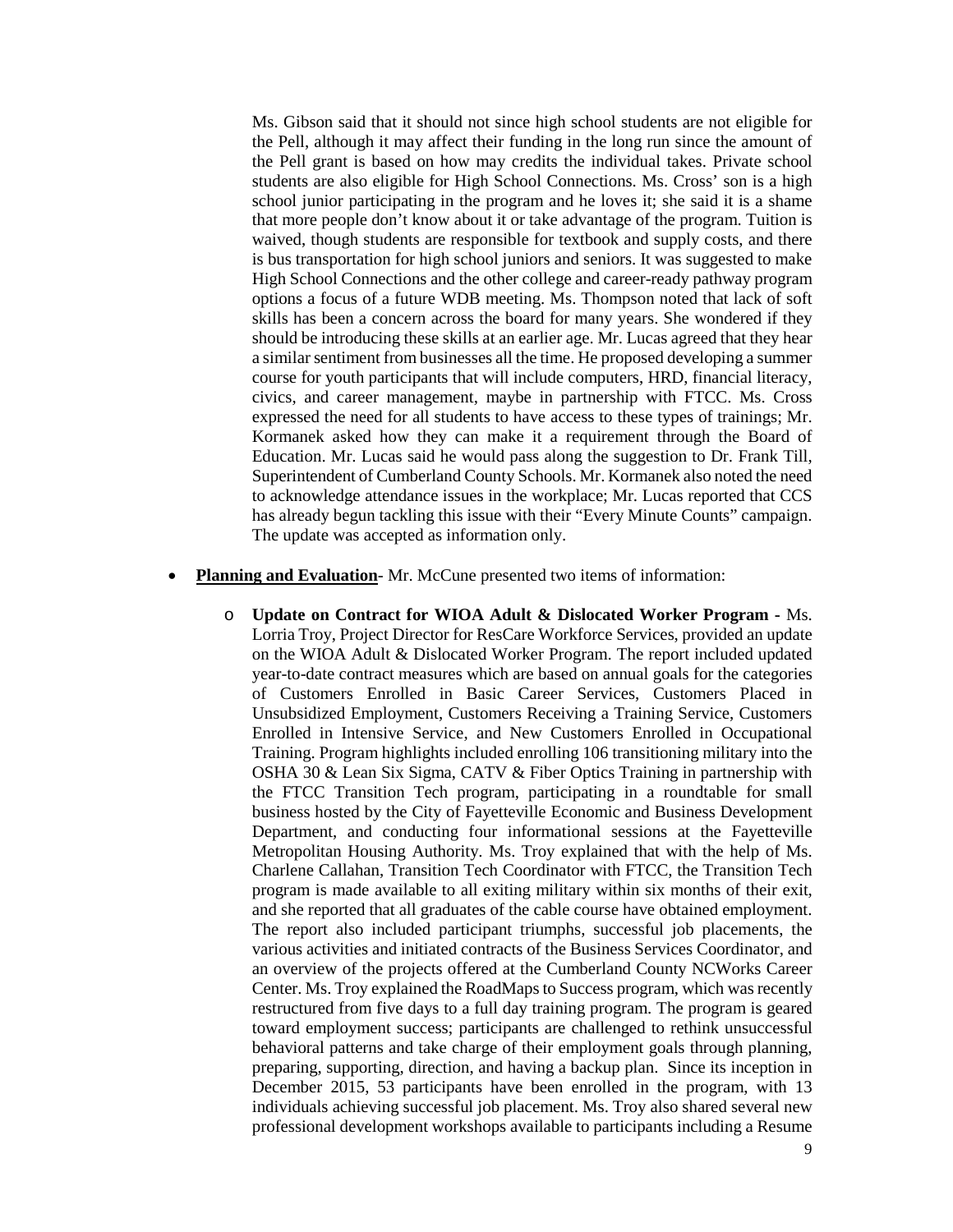Ms. Gibson said that it should not since high school students are not eligible for the Pell, although it may affect their funding in the long run since the amount of the Pell grant is based on how may credits the individual takes. Private school students are also eligible for High School Connections. Ms. Cross' son is a high school junior participating in the program and he loves it; she said it is a shame that more people don't know about it or take advantage of the program. Tuition is waived, though students are responsible for textbook and supply costs, and there is bus transportation for high school juniors and seniors. It was suggested to make High School Connections and the other college and career-ready pathway program options a focus of a future WDB meeting. Ms. Thompson noted that lack of soft skills has been a concern across the board for many years. She wondered if they should be introducing these skills at an earlier age. Mr. Lucas agreed that they hear a similar sentiment from businesses all the time. He proposed developing a summer course for youth participants that will include computers, HRD, financial literacy, civics, and career management, maybe in partnership with FTCC. Ms. Cross expressed the need for all students to have access to these types of trainings; Mr. Kormanek asked how they can make it a requirement through the Board of Education. Mr. Lucas said he would pass along the suggestion to Dr. Frank Till, Superintendent of Cumberland County Schools. Mr. Kormanek also noted the need to acknowledge attendance issues in the workplace; Mr. Lucas reported that CCS has already begun tackling this issue with their "Every Minute Counts" campaign. The update was accepted as information only.

- **Planning and Evaluation-Mr. McCune presented two items of information:** 
	- o **Update on Contract for WIOA Adult & Dislocated Worker Program -** Ms. Lorria Troy, Project Director for ResCare Workforce Services, provided an update on the WIOA Adult & Dislocated Worker Program. The report included updated year-to-date contract measures which are based on annual goals for the categories of Customers Enrolled in Basic Career Services, Customers Placed in Unsubsidized Employment, Customers Receiving a Training Service, Customers Enrolled in Intensive Service, and New Customers Enrolled in Occupational Training. Program highlights included enrolling 106 transitioning military into the OSHA 30 & Lean Six Sigma, CATV & Fiber Optics Training in partnership with the FTCC Transition Tech program, participating in a roundtable for small business hosted by the City of Fayetteville Economic and Business Development Department, and conducting four informational sessions at the Fayetteville Metropolitan Housing Authority. Ms. Troy explained that with the help of Ms. Charlene Callahan, Transition Tech Coordinator with FTCC, the Transition Tech program is made available to all exiting military within six months of their exit, and she reported that all graduates of the cable course have obtained employment. The report also included participant triumphs, successful job placements, the various activities and initiated contracts of the Business Services Coordinator, and an overview of the projects offered at the Cumberland County NCWorks Career Center. Ms. Troy explained the RoadMaps to Success program, which was recently restructured from five days to a full day training program. The program is geared toward employment success; participants are challenged to rethink unsuccessful behavioral patterns and take charge of their employment goals through planning, preparing, supporting, direction, and having a backup plan. Since its inception in December 2015, 53 participants have been enrolled in the program, with 13 individuals achieving successful job placement. Ms. Troy also shared several new professional development workshops available to participants including a Resume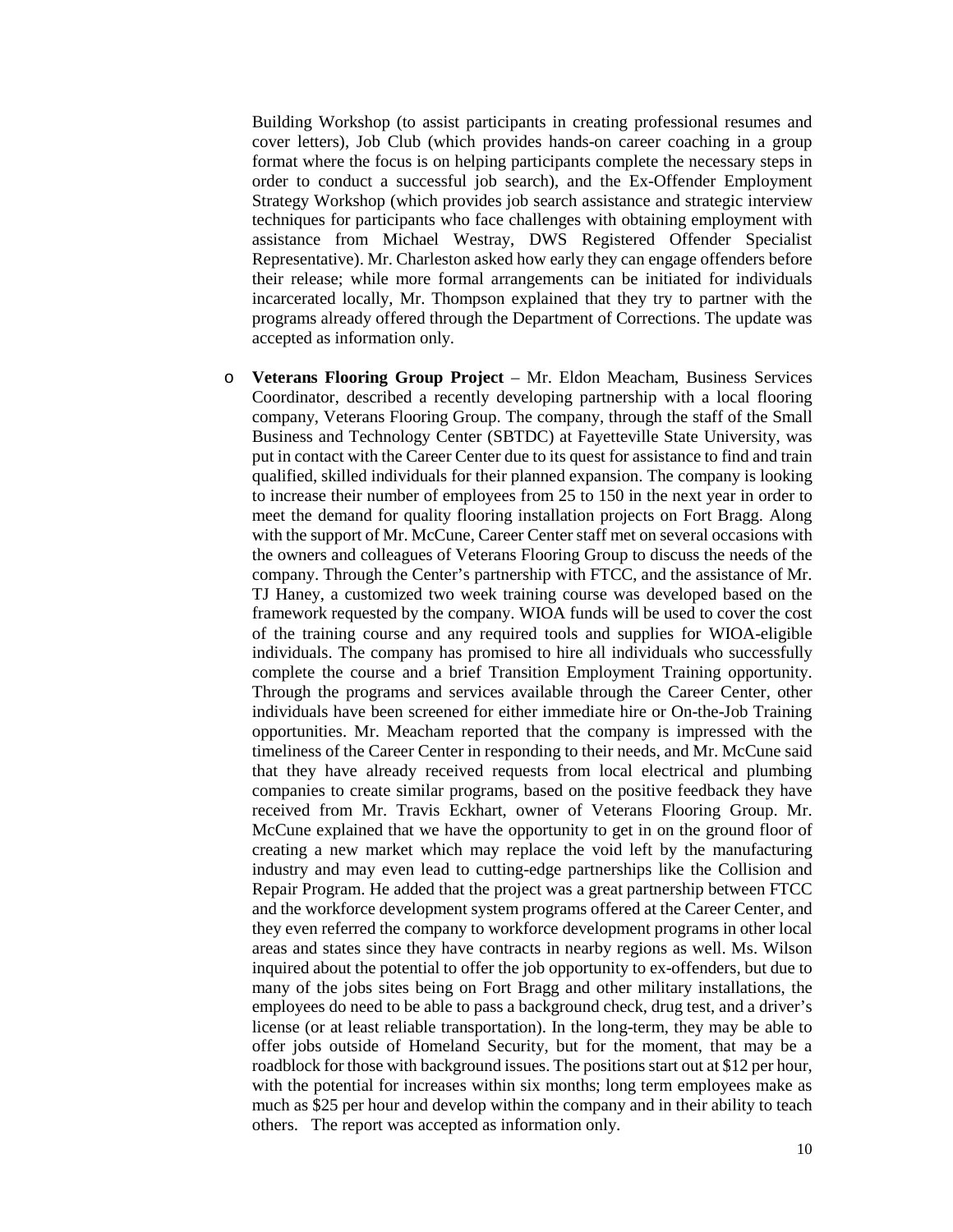Building Workshop (to assist participants in creating professional resumes and cover letters), Job Club (which provides hands-on career coaching in a group format where the focus is on helping participants complete the necessary steps in order to conduct a successful job search), and the Ex-Offender Employment Strategy Workshop (which provides job search assistance and strategic interview techniques for participants who face challenges with obtaining employment with assistance from Michael Westray, DWS Registered Offender Specialist Representative). Mr. Charleston asked how early they can engage offenders before their release; while more formal arrangements can be initiated for individuals incarcerated locally, Mr. Thompson explained that they try to partner with the programs already offered through the Department of Corrections. The update was accepted as information only.

o **Veterans Flooring Group Project** – Mr. Eldon Meacham, Business Services Coordinator, described a recently developing partnership with a local flooring company, Veterans Flooring Group. The company, through the staff of the Small Business and Technology Center (SBTDC) at Fayetteville State University, was put in contact with the Career Center due to its quest for assistance to find and train qualified, skilled individuals for their planned expansion. The company is looking to increase their number of employees from 25 to 150 in the next year in order to meet the demand for quality flooring installation projects on Fort Bragg. Along with the support of Mr. McCune, Career Center staff met on several occasions with the owners and colleagues of Veterans Flooring Group to discuss the needs of the company. Through the Center's partnership with FTCC, and the assistance of Mr. TJ Haney, a customized two week training course was developed based on the framework requested by the company. WIOA funds will be used to cover the cost of the training course and any required tools and supplies for WIOA-eligible individuals. The company has promised to hire all individuals who successfully complete the course and a brief Transition Employment Training opportunity. Through the programs and services available through the Career Center, other individuals have been screened for either immediate hire or On-the-Job Training opportunities. Mr. Meacham reported that the company is impressed with the timeliness of the Career Center in responding to their needs, and Mr. McCune said that they have already received requests from local electrical and plumbing companies to create similar programs, based on the positive feedback they have received from Mr. Travis Eckhart, owner of Veterans Flooring Group. Mr. McCune explained that we have the opportunity to get in on the ground floor of creating a new market which may replace the void left by the manufacturing industry and may even lead to cutting-edge partnerships like the Collision and Repair Program. He added that the project was a great partnership between FTCC and the workforce development system programs offered at the Career Center, and they even referred the company to workforce development programs in other local areas and states since they have contracts in nearby regions as well. Ms. Wilson inquired about the potential to offer the job opportunity to ex-offenders, but due to many of the jobs sites being on Fort Bragg and other military installations, the employees do need to be able to pass a background check, drug test, and a driver's license (or at least reliable transportation). In the long-term, they may be able to offer jobs outside of Homeland Security, but for the moment, that may be a roadblock for those with background issues. The positions start out at \$12 per hour, with the potential for increases within six months; long term employees make as much as \$25 per hour and develop within the company and in their ability to teach others. The report was accepted as information only.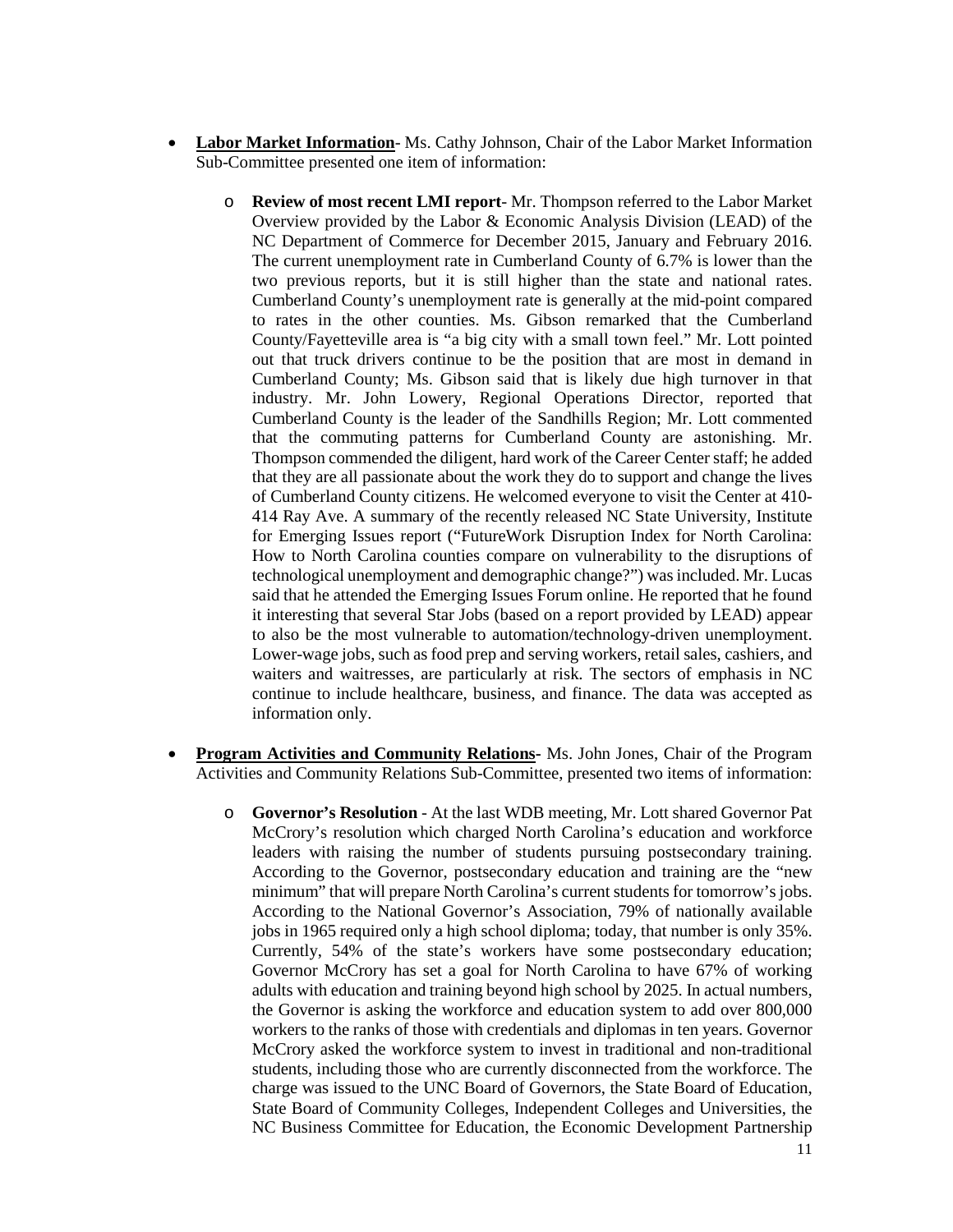- **Labor Market Information** Ms. Cathy Johnson, Chair of the Labor Market Information Sub-Committee presented one item of information:
	- o **Review of most recent LMI report** Mr. Thompson referred to the Labor Market Overview provided by the Labor & Economic Analysis Division (LEAD) of the NC Department of Commerce for December 2015, January and February 2016. The current unemployment rate in Cumberland County of 6.7% is lower than the two previous reports, but it is still higher than the state and national rates. Cumberland County's unemployment rate is generally at the mid-point compared to rates in the other counties. Ms. Gibson remarked that the Cumberland County/Fayetteville area is "a big city with a small town feel." Mr. Lott pointed out that truck drivers continue to be the position that are most in demand in Cumberland County; Ms. Gibson said that is likely due high turnover in that industry. Mr. John Lowery, Regional Operations Director, reported that Cumberland County is the leader of the Sandhills Region; Mr. Lott commented that the commuting patterns for Cumberland County are astonishing. Mr. Thompson commended the diligent, hard work of the Career Center staff; he added that they are all passionate about the work they do to support and change the lives of Cumberland County citizens. He welcomed everyone to visit the Center at 410- 414 Ray Ave. A summary of the recently released NC State University, Institute for Emerging Issues report ("FutureWork Disruption Index for North Carolina: How to North Carolina counties compare on vulnerability to the disruptions of technological unemployment and demographic change?") was included. Mr. Lucas said that he attended the Emerging Issues Forum online. He reported that he found it interesting that several Star Jobs (based on a report provided by LEAD) appear to also be the most vulnerable to automation/technology-driven unemployment. Lower-wage jobs, such as food prep and serving workers, retail sales, cashiers, and waiters and waitresses, are particularly at risk. The sectors of emphasis in NC continue to include healthcare, business, and finance. The data was accepted as information only.
- **Program Activities and Community Relations-** Ms. John Jones, Chair of the Program Activities and Community Relations Sub-Committee, presented two items of information:
	- o **Governor's Resolution** At the last WDB meeting, Mr. Lott shared Governor Pat McCrory's resolution which charged North Carolina's education and workforce leaders with raising the number of students pursuing postsecondary training. According to the Governor, postsecondary education and training are the "new minimum" that will prepare North Carolina's current students for tomorrow's jobs. According to the National Governor's Association, 79% of nationally available jobs in 1965 required only a high school diploma; today, that number is only 35%. Currently, 54% of the state's workers have some postsecondary education; Governor McCrory has set a goal for North Carolina to have 67% of working adults with education and training beyond high school by 2025. In actual numbers, the Governor is asking the workforce and education system to add over 800,000 workers to the ranks of those with credentials and diplomas in ten years. Governor McCrory asked the workforce system to invest in traditional and non-traditional students, including those who are currently disconnected from the workforce. The charge was issued to the UNC Board of Governors, the State Board of Education, State Board of Community Colleges, Independent Colleges and Universities, the NC Business Committee for Education, the Economic Development Partnership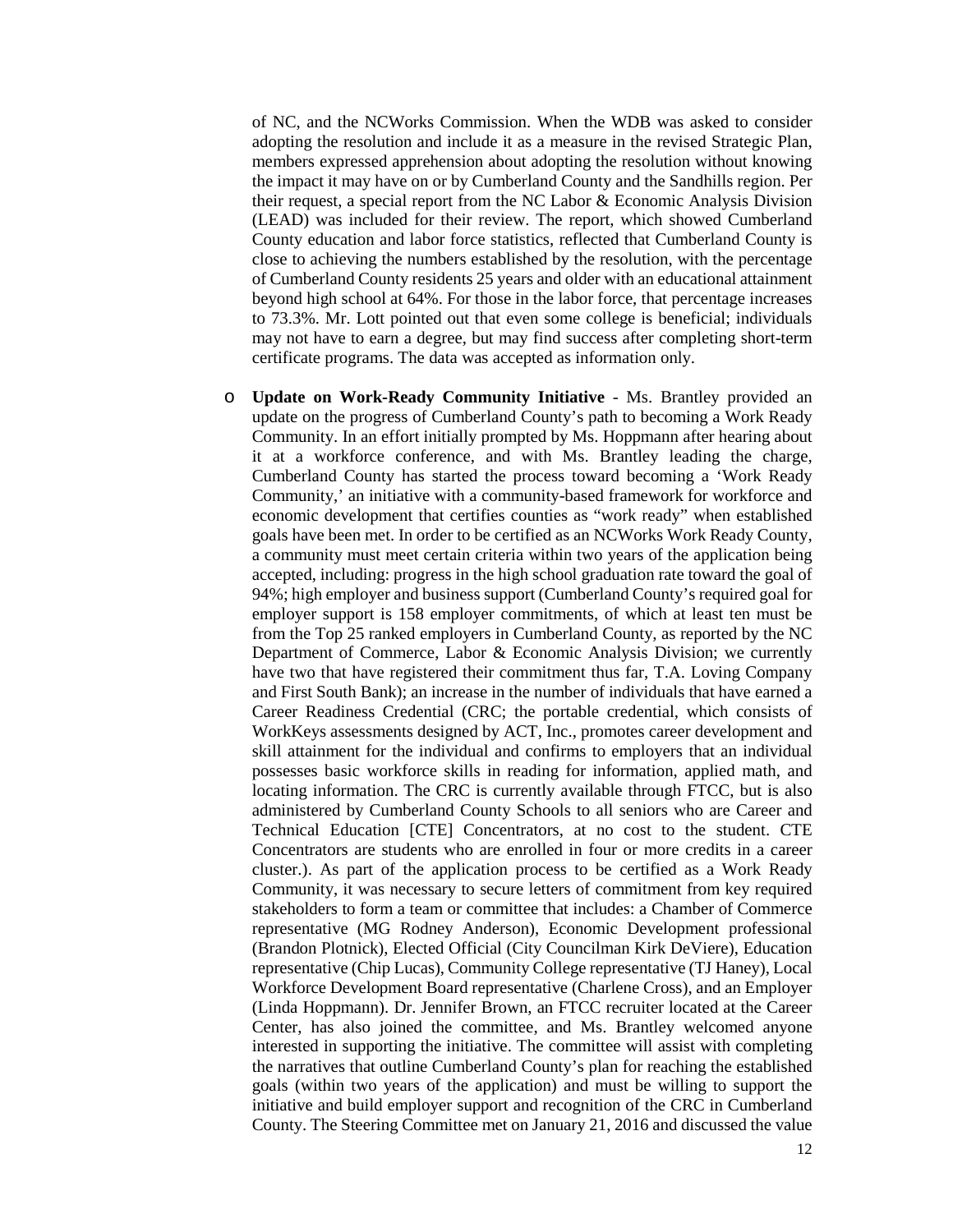of NC, and the NCWorks Commission. When the WDB was asked to consider adopting the resolution and include it as a measure in the revised Strategic Plan, members expressed apprehension about adopting the resolution without knowing the impact it may have on or by Cumberland County and the Sandhills region. Per their request, a special report from the NC Labor & Economic Analysis Division (LEAD) was included for their review. The report, which showed Cumberland County education and labor force statistics, reflected that Cumberland County is close to achieving the numbers established by the resolution, with the percentage of Cumberland County residents 25 years and older with an educational attainment beyond high school at 64%. For those in the labor force, that percentage increases to 73.3%. Mr. Lott pointed out that even some college is beneficial; individuals may not have to earn a degree, but may find success after completing short-term certificate programs. The data was accepted as information only.

o **Update on Work-Ready Community Initiative** - Ms. Brantley provided an update on the progress of Cumberland County's path to becoming a Work Ready Community. In an effort initially prompted by Ms. Hoppmann after hearing about it at a workforce conference, and with Ms. Brantley leading the charge, Cumberland County has started the process toward becoming a 'Work Ready Community,' an initiative with a community-based framework for workforce and economic development that certifies counties as "work ready" when established goals have been met. In order to be certified as an NCWorks Work Ready County, a community must meet certain criteria within two years of the application being accepted, including: progress in the high school graduation rate toward the goal of 94%; high employer and business support (Cumberland County's required goal for employer support is 158 employer commitments, of which at least ten must be from the Top 25 ranked employers in Cumberland County, as reported by the NC Department of Commerce, Labor & Economic Analysis Division; we currently have two that have registered their commitment thus far, T.A. Loving Company and First South Bank); an increase in the number of individuals that have earned a Career Readiness Credential (CRC; the portable credential, which consists of WorkKeys assessments designed by ACT, Inc., promotes career development and skill attainment for the individual and confirms to employers that an individual possesses basic workforce skills in reading for information, applied math, and locating information. The CRC is currently available through FTCC, but is also administered by Cumberland County Schools to all seniors who are Career and Technical Education [CTE] Concentrators, at no cost to the student. CTE Concentrators are students who are enrolled in four or more credits in a career cluster.). As part of the application process to be certified as a Work Ready Community, it was necessary to secure letters of commitment from key required stakeholders to form a team or committee that includes: a Chamber of Commerce representative (MG Rodney Anderson), Economic Development professional (Brandon Plotnick), Elected Official (City Councilman Kirk DeViere), Education representative (Chip Lucas), Community College representative (TJ Haney), Local Workforce Development Board representative (Charlene Cross), and an Employer (Linda Hoppmann). Dr. Jennifer Brown, an FTCC recruiter located at the Career Center, has also joined the committee, and Ms. Brantley welcomed anyone interested in supporting the initiative. The committee will assist with completing the narratives that outline Cumberland County's plan for reaching the established goals (within two years of the application) and must be willing to support the initiative and build employer support and recognition of the CRC in Cumberland County. The Steering Committee met on January 21, 2016 and discussed the value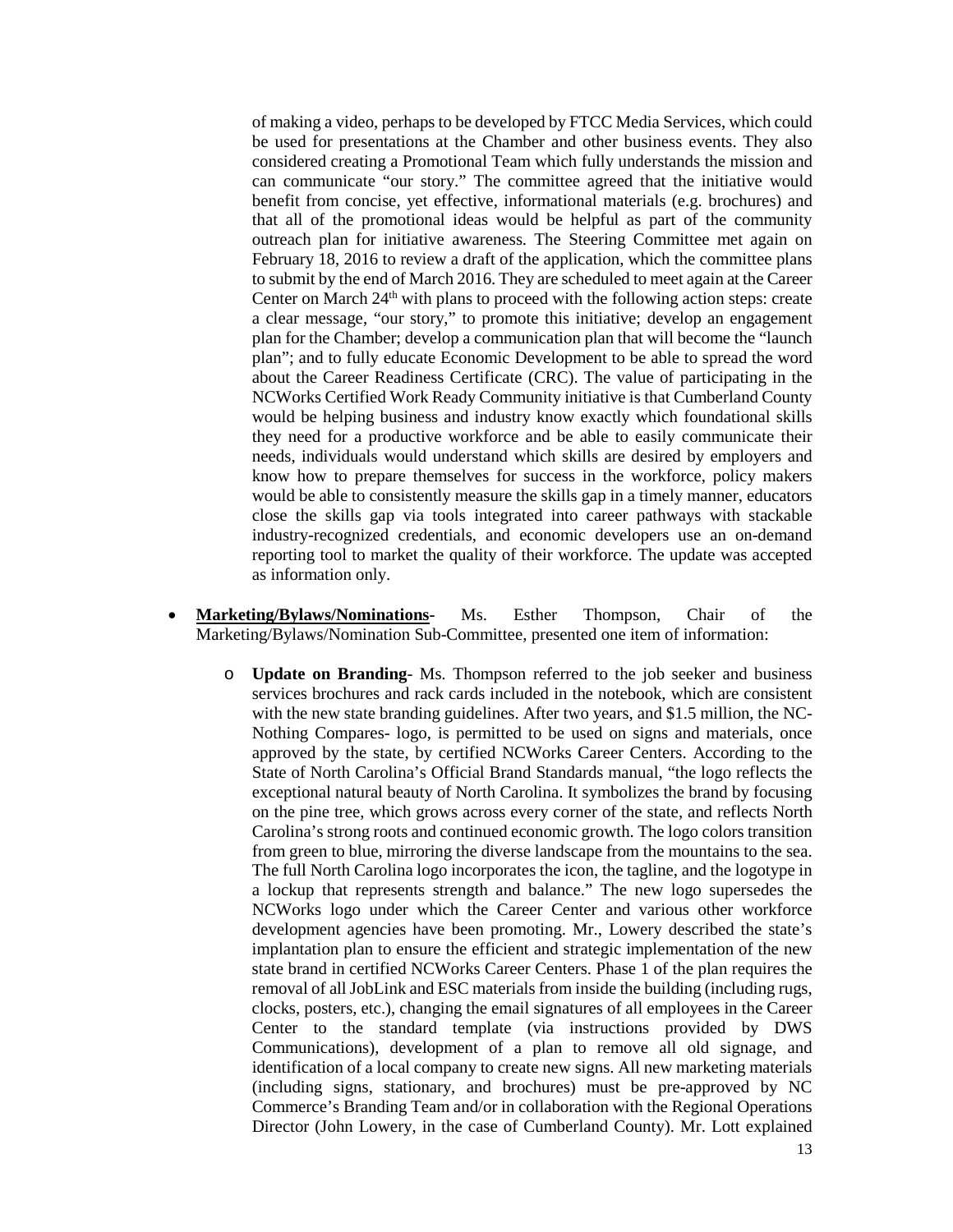of making a video, perhaps to be developed by FTCC Media Services, which could be used for presentations at the Chamber and other business events. They also considered creating a Promotional Team which fully understands the mission and can communicate "our story." The committee agreed that the initiative would benefit from concise, yet effective, informational materials (e.g. brochures) and that all of the promotional ideas would be helpful as part of the community outreach plan for initiative awareness. The Steering Committee met again on February 18, 2016 to review a draft of the application, which the committee plans to submit by the end of March 2016. They are scheduled to meet again at the Career Center on March 24<sup>th</sup> with plans to proceed with the following action steps: create a clear message, "our story," to promote this initiative; develop an engagement plan for the Chamber; develop a communication plan that will become the "launch plan"; and to fully educate Economic Development to be able to spread the word about the Career Readiness Certificate (CRC). The value of participating in the NCWorks Certified Work Ready Community initiative is that Cumberland County would be helping business and industry know exactly which foundational skills they need for a productive workforce and be able to easily communicate their needs, individuals would understand which skills are desired by employers and know how to prepare themselves for success in the workforce, policy makers would be able to consistently measure the skills gap in a timely manner, educators close the skills gap via tools integrated into career pathways with stackable industry-recognized credentials, and economic developers use an on-demand reporting tool to market the quality of their workforce. The update was accepted as information only.

- **Marketing/Bylaws/Nominations-** Ms. Esther Thompson, Chair of the Marketing/Bylaws/Nomination Sub-Committee, presented one item of information:
	- o **Update on Branding** Ms. Thompson referred to the job seeker and business services brochures and rack cards included in the notebook, which are consistent with the new state branding guidelines. After two years, and \$1.5 million, the NC-Nothing Compares- logo, is permitted to be used on signs and materials, once approved by the state, by certified NCWorks Career Centers. According to the State of North Carolina's Official Brand Standards manual, "the logo reflects the exceptional natural beauty of North Carolina. It symbolizes the brand by focusing on the pine tree, which grows across every corner of the state, and reflects North Carolina's strong roots and continued economic growth. The logo colors transition from green to blue, mirroring the diverse landscape from the mountains to the sea. The full North Carolina logo incorporates the icon, the tagline, and the logotype in a lockup that represents strength and balance." The new logo supersedes the NCWorks logo under which the Career Center and various other workforce development agencies have been promoting. Mr., Lowery described the state's implantation plan to ensure the efficient and strategic implementation of the new state brand in certified NCWorks Career Centers. Phase 1 of the plan requires the removal of all JobLink and ESC materials from inside the building (including rugs, clocks, posters, etc.), changing the email signatures of all employees in the Career Center to the standard template (via instructions provided by DWS Communications), development of a plan to remove all old signage, and identification of a local company to create new signs. All new marketing materials (including signs, stationary, and brochures) must be pre-approved by NC Commerce's Branding Team and/or in collaboration with the Regional Operations Director (John Lowery, in the case of Cumberland County). Mr. Lott explained